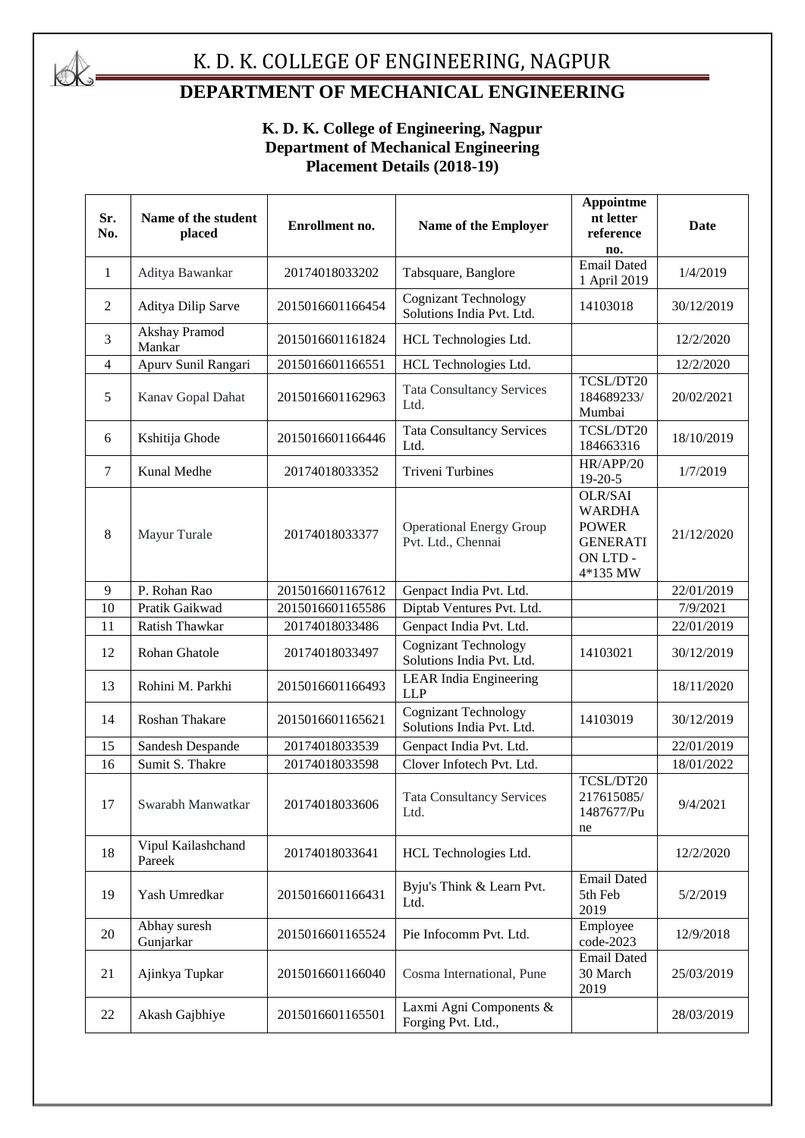

#### K. D. K. COLLEGE OF ENGINEERING, NAGPUR

#### **DEPARTMENT OF MECHANICAL ENGINEERING**

#### **K. D. K. College of Engineering, Nagpur Department of Mechanical Engineering Placement Details (2018-19)**

| Sr.<br>No.     | Name of the student<br>placed | Enrollment no.   | Name of the Employer                                     | Appointme<br>nt letter<br>reference<br>no.                                          | Date       |
|----------------|-------------------------------|------------------|----------------------------------------------------------|-------------------------------------------------------------------------------------|------------|
| 1              | Aditya Bawankar               | 20174018033202   | Tabsquare, Banglore                                      | <b>Email Dated</b><br>1 April 2019                                                  | 1/4/2019   |
| $\overline{2}$ | Aditya Dilip Sarve            | 2015016601166454 | <b>Cognizant Technology</b><br>Solutions India Pvt. Ltd. | 14103018                                                                            | 30/12/2019 |
| 3              | Akshay Pramod<br>Mankar       | 2015016601161824 | HCL Technologies Ltd.                                    |                                                                                     | 12/2/2020  |
| 4              | Apurv Sunil Rangari           | 2015016601166551 | HCL Technologies Ltd.                                    |                                                                                     | 12/2/2020  |
| 5              | Kanav Gopal Dahat             | 2015016601162963 | <b>Tata Consultancy Services</b><br>Ltd.                 | TCSL/DT20<br>184689233/<br>Mumbai                                                   | 20/02/2021 |
| 6              | Kshitija Ghode                | 2015016601166446 | <b>Tata Consultancy Services</b><br>Ltd.                 | TCSL/DT20<br>184663316                                                              | 18/10/2019 |
| $\overline{7}$ | Kunal Medhe                   | 20174018033352   | <b>Triveni Turbines</b>                                  | HR/APP/20<br>$19 - 20 - 5$                                                          | 1/7/2019   |
| 8              | Mayur Turale                  | 20174018033377   | <b>Operational Energy Group</b><br>Pvt. Ltd., Chennai    | OLR/SAI<br><b>WARDHA</b><br><b>POWER</b><br><b>GENERATI</b><br>ON LTD -<br>4*135 MW | 21/12/2020 |
| 9              | P. Rohan Rao                  | 2015016601167612 | Genpact India Pvt. Ltd.                                  |                                                                                     | 22/01/2019 |
| 10             | Pratik Gaikwad                | 2015016601165586 | Diptab Ventures Pvt. Ltd.                                |                                                                                     | 7/9/2021   |
| 11             | Ratish Thawkar                | 20174018033486   | Genpact India Pvt. Ltd.                                  |                                                                                     | 22/01/2019 |
| 12             | Rohan Ghatole                 | 20174018033497   | <b>Cognizant Technology</b><br>Solutions India Pvt. Ltd. | 14103021                                                                            | 30/12/2019 |
| 13             | Rohini M. Parkhi              | 2015016601166493 | <b>LEAR</b> India Engineering<br><b>LLP</b>              |                                                                                     | 18/11/2020 |
| 14             | Roshan Thakare                | 2015016601165621 | <b>Cognizant Technology</b><br>Solutions India Pvt. Ltd. | 14103019                                                                            | 30/12/2019 |
| 15             | Sandesh Despande              | 20174018033539   | Genpact India Pvt. Ltd.                                  |                                                                                     | 22/01/2019 |
| 16             | Sumit S. Thakre               | 20174018033598   | Clover Infotech Pvt. Ltd.                                |                                                                                     | 18/01/2022 |
| 17             | Swarabh Manwatkar             | 20174018033606   | <b>Tata Consultancy Services</b><br>Ltd.                 | TCSL/DT20<br>217615085/<br>1487677/Pu<br>ne                                         | 9/4/2021   |
| 18             | Vipul Kailashchand<br>Pareek  | 20174018033641   | HCL Technologies Ltd.                                    |                                                                                     | 12/2/2020  |
| 19             | Yash Umredkar                 | 2015016601166431 | Byju's Think & Learn Pvt.<br>Ltd.                        | <b>Email Dated</b><br>5th Feb<br>2019                                               | 5/2/2019   |
| 20             | Abhay suresh<br>Gunjarkar     | 2015016601165524 | Pie Infocomm Pvt. Ltd.                                   | Employee<br>code-2023                                                               | 12/9/2018  |
| 21             | Ajinkya Tupkar                | 2015016601166040 | Cosma International, Pune                                | <b>Email Dated</b><br>30 March<br>2019                                              | 25/03/2019 |
| 22             | Akash Gajbhiye                | 2015016601165501 | Laxmi Agni Components &<br>Forging Pvt. Ltd.,            |                                                                                     | 28/03/2019 |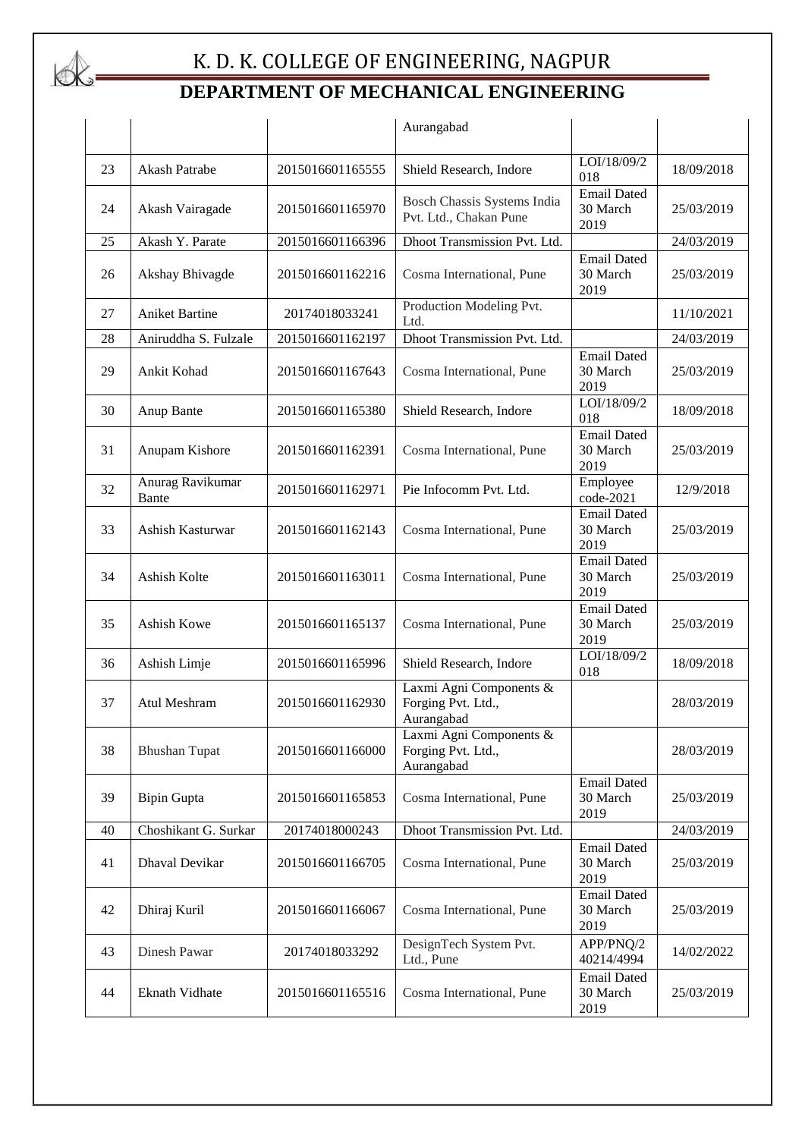

|    |                           |                  | Aurangabad                                                  |                                        |            |
|----|---------------------------|------------------|-------------------------------------------------------------|----------------------------------------|------------|
| 23 | Akash Patrabe             | 2015016601165555 | Shield Research, Indore                                     | LOI/18/09/2<br>018                     | 18/09/2018 |
| 24 | Akash Vairagade           | 2015016601165970 | Bosch Chassis Systems India<br>Pvt. Ltd., Chakan Pune       | <b>Email Dated</b><br>30 March<br>2019 | 25/03/2019 |
| 25 | Akash Y. Parate           | 2015016601166396 | Dhoot Transmission Pvt. Ltd.                                |                                        | 24/03/2019 |
| 26 | Akshay Bhivagde           | 2015016601162216 | Cosma International, Pune                                   | <b>Email Dated</b><br>30 March<br>2019 | 25/03/2019 |
| 27 | <b>Aniket Bartine</b>     | 20174018033241   | Production Modeling Pvt.<br>Ltd.                            |                                        | 11/10/2021 |
| 28 | Aniruddha S. Fulzale      | 2015016601162197 | Dhoot Transmission Pvt. Ltd.                                |                                        | 24/03/2019 |
| 29 | Ankit Kohad               | 2015016601167643 | Cosma International, Pune                                   | <b>Email Dated</b><br>30 March<br>2019 | 25/03/2019 |
| 30 | Anup Bante                | 2015016601165380 | Shield Research, Indore                                     | LOI/18/09/2<br>018                     | 18/09/2018 |
| 31 | Anupam Kishore            | 2015016601162391 | Cosma International, Pune                                   | <b>Email Dated</b><br>30 March<br>2019 | 25/03/2019 |
| 32 | Anurag Ravikumar<br>Bante | 2015016601162971 | Pie Infocomm Pvt. Ltd.                                      | Employee<br>code-2021                  | 12/9/2018  |
| 33 | Ashish Kasturwar          | 2015016601162143 | Cosma International, Pune                                   | <b>Email Dated</b><br>30 March<br>2019 | 25/03/2019 |
| 34 | Ashish Kolte              | 2015016601163011 | Cosma International, Pune                                   | Email Dated<br>30 March<br>2019        | 25/03/2019 |
| 35 | Ashish Kowe               | 2015016601165137 | Cosma International, Pune                                   | <b>Email Dated</b><br>30 March<br>2019 | 25/03/2019 |
| 36 | Ashish Limje              | 2015016601165996 | Shield Research, Indore                                     | LOI/18/09/2<br>018                     | 18/09/2018 |
| 37 | Atul Meshram              | 2015016601162930 | Laxmi Agni Components &<br>Forging Pvt. Ltd.,<br>Aurangabad |                                        | 28/03/2019 |
| 38 | <b>Bhushan Tupat</b>      | 2015016601166000 | Laxmi Agni Components &<br>Forging Pvt. Ltd.,<br>Aurangabad |                                        | 28/03/2019 |
| 39 | <b>Bipin Gupta</b>        | 2015016601165853 | Cosma International, Pune                                   | <b>Email Dated</b><br>30 March<br>2019 | 25/03/2019 |
| 40 | Choshikant G. Surkar      | 20174018000243   | Dhoot Transmission Pvt. Ltd.                                |                                        | 24/03/2019 |
| 41 | Dhaval Devikar            | 2015016601166705 | Cosma International, Pune                                   | <b>Email Dated</b><br>30 March<br>2019 | 25/03/2019 |
| 42 | Dhiraj Kuril              | 2015016601166067 | Cosma International, Pune                                   | <b>Email Dated</b><br>30 March<br>2019 | 25/03/2019 |
| 43 | Dinesh Pawar              | 20174018033292   | DesignTech System Pvt.<br>Ltd., Pune                        | APP/PNQ/2<br>40214/4994                | 14/02/2022 |
| 44 | Eknath Vidhate            | 2015016601165516 | Cosma International, Pune                                   | <b>Email Dated</b><br>30 March<br>2019 | 25/03/2019 |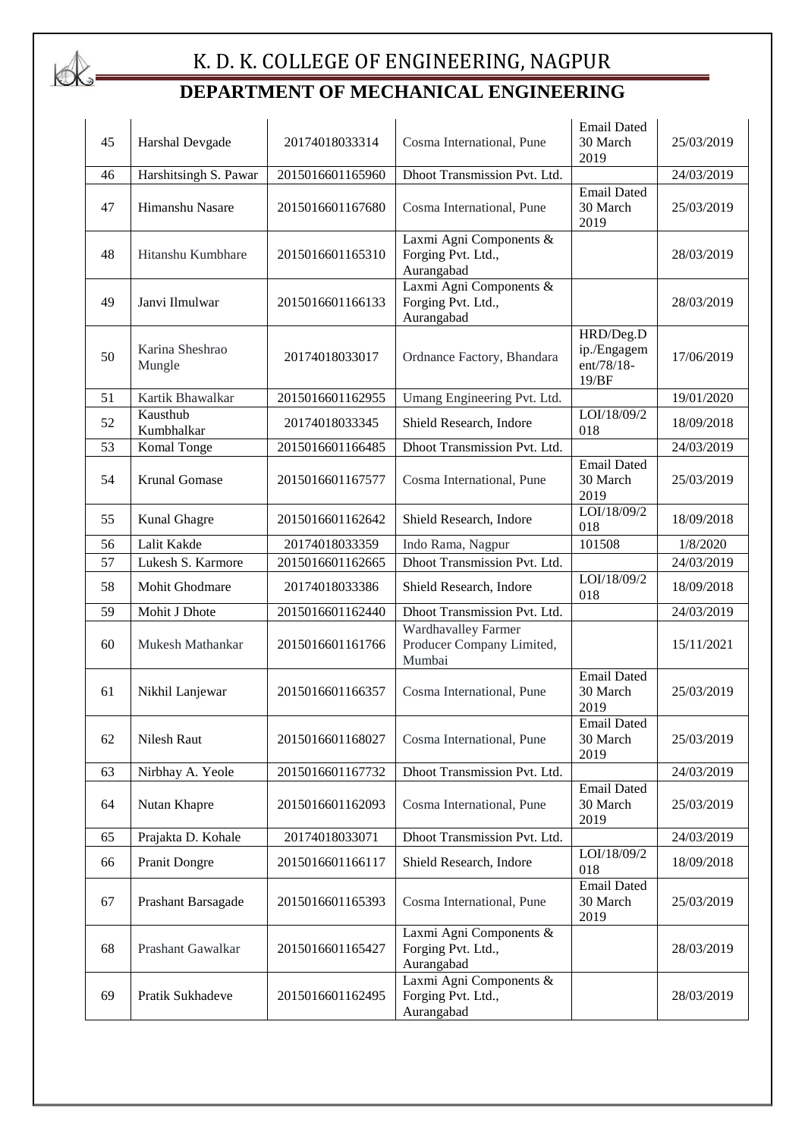# $\&$

| 45 | Harshal Devgade           | 20174018033314   | Cosma International, Pune                                         | <b>Email Dated</b><br>30 March<br>2019          | 25/03/2019 |
|----|---------------------------|------------------|-------------------------------------------------------------------|-------------------------------------------------|------------|
| 46 | Harshitsingh S. Pawar     | 2015016601165960 | Dhoot Transmission Pvt. Ltd.                                      |                                                 | 24/03/2019 |
| 47 | Himanshu Nasare           | 2015016601167680 | Cosma International, Pune                                         | <b>Email Dated</b><br>30 March<br>2019          | 25/03/2019 |
| 48 | Hitanshu Kumbhare         | 2015016601165310 | Laxmi Agni Components &<br>Forging Pvt. Ltd.,<br>Aurangabad       |                                                 | 28/03/2019 |
| 49 | Janvi Ilmulwar            | 2015016601166133 | Laxmi Agni Components &<br>Forging Pvt. Ltd.,<br>Aurangabad       |                                                 | 28/03/2019 |
| 50 | Karina Sheshrao<br>Mungle | 20174018033017   | Ordnance Factory, Bhandara                                        | HRD/Deg.D<br>ip./Engagem<br>ent/78/18-<br>19/BF | 17/06/2019 |
| 51 | Kartik Bhawalkar          | 2015016601162955 | Umang Engineering Pvt. Ltd.                                       |                                                 | 19/01/2020 |
| 52 | Kausthub<br>Kumbhalkar    | 20174018033345   | Shield Research, Indore                                           | LOI/18/09/2<br>018                              | 18/09/2018 |
| 53 | Komal Tonge               | 2015016601166485 | Dhoot Transmission Pvt. Ltd.                                      |                                                 | 24/03/2019 |
| 54 | Krunal Gomase             | 2015016601167577 | Cosma International, Pune                                         | <b>Email Dated</b><br>30 March<br>2019          | 25/03/2019 |
| 55 | Kunal Ghagre              | 2015016601162642 | Shield Research, Indore                                           | LOI/18/09/2<br>018                              | 18/09/2018 |
| 56 | Lalit Kakde               | 20174018033359   | Indo Rama, Nagpur                                                 | 101508                                          | 1/8/2020   |
| 57 | Lukesh S. Karmore         | 2015016601162665 | Dhoot Transmission Pvt. Ltd.                                      |                                                 | 24/03/2019 |
| 58 | Mohit Ghodmare            | 20174018033386   | Shield Research, Indore                                           | LOI/18/09/2<br>018                              | 18/09/2018 |
| 59 | Mohit J Dhote             | 2015016601162440 | Dhoot Transmission Pvt. Ltd.                                      |                                                 | 24/03/2019 |
| 60 | Mukesh Mathankar          | 2015016601161766 | <b>Wardhavalley Farmer</b><br>Producer Company Limited,<br>Mumbai |                                                 | 15/11/2021 |
| 61 | Nikhil Lanjewar           | 2015016601166357 | Cosma International, Pune                                         | <b>Email Dated</b><br>30 March<br>2019          | 25/03/2019 |
| 62 | Nilesh Raut               | 2015016601168027 | Cosma International, Pune                                         | <b>Email Dated</b><br>30 March<br>2019          | 25/03/2019 |
| 63 | Nirbhay A. Yeole          | 2015016601167732 | Dhoot Transmission Pvt. Ltd.                                      |                                                 | 24/03/2019 |
| 64 | Nutan Khapre              | 2015016601162093 | Cosma International, Pune                                         | <b>Email Dated</b><br>30 March<br>2019          | 25/03/2019 |
| 65 | Prajakta D. Kohale        | 20174018033071   | Dhoot Transmission Pvt. Ltd.                                      |                                                 | 24/03/2019 |
| 66 | Pranit Dongre             | 2015016601166117 | Shield Research, Indore                                           | LOI/18/09/2<br>018                              | 18/09/2018 |
| 67 | Prashant Barsagade        | 2015016601165393 | Cosma International, Pune                                         | <b>Email Dated</b><br>30 March<br>2019          | 25/03/2019 |
| 68 | Prashant Gawalkar         | 2015016601165427 | Laxmi Agni Components &<br>Forging Pvt. Ltd.,<br>Aurangabad       |                                                 | 28/03/2019 |
| 69 | Pratik Sukhadeve          | 2015016601162495 | Laxmi Agni Components &<br>Forging Pvt. Ltd.,<br>Aurangabad       |                                                 | 28/03/2019 |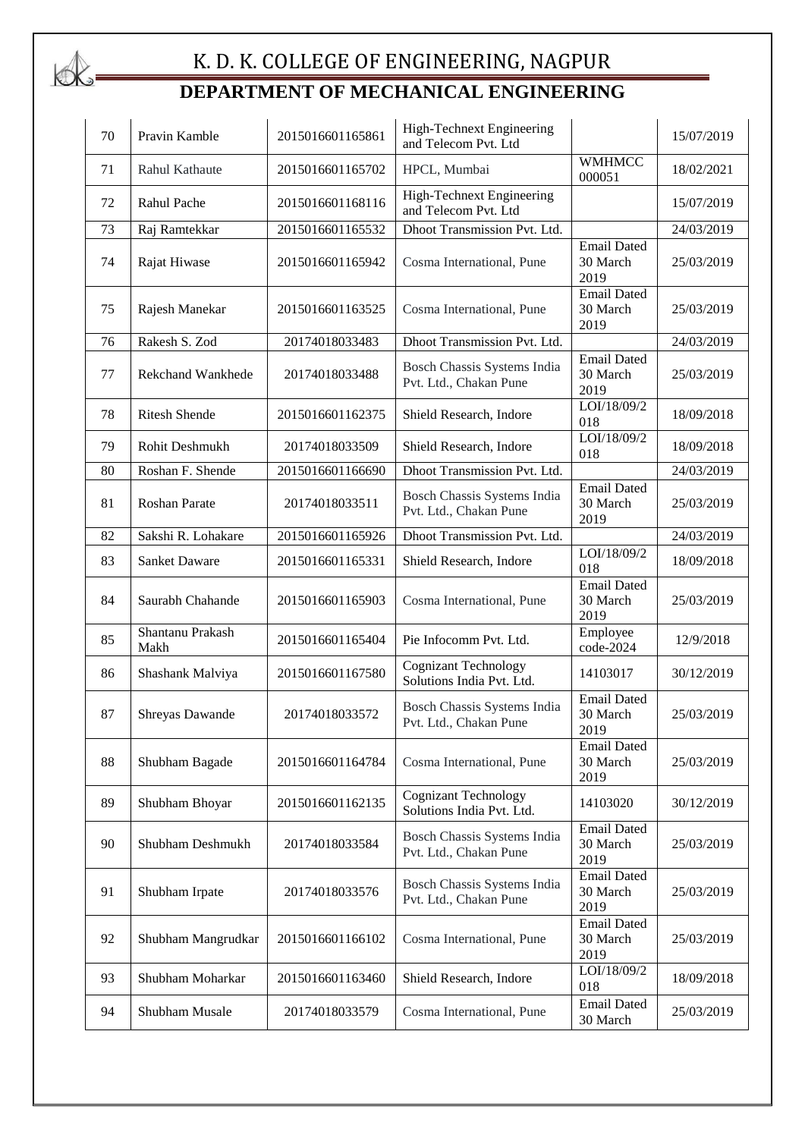

| 70 | Pravin Kamble            | 2015016601165861 | High-Technext Engineering<br>and Telecom Pvt. Ltd        |                                        | 15/07/2019 |
|----|--------------------------|------------------|----------------------------------------------------------|----------------------------------------|------------|
| 71 | <b>Rahul Kathaute</b>    | 2015016601165702 | HPCL, Mumbai                                             | <b>WMHMCC</b><br>000051                | 18/02/2021 |
| 72 | Rahul Pache              | 2015016601168116 | <b>High-Technext Engineering</b><br>and Telecom Pvt. Ltd |                                        | 15/07/2019 |
| 73 | Raj Ramtekkar            | 2015016601165532 | Dhoot Transmission Pvt. Ltd.                             |                                        | 24/03/2019 |
| 74 | Rajat Hiwase             | 2015016601165942 | Cosma International, Pune                                | <b>Email Dated</b><br>30 March<br>2019 | 25/03/2019 |
| 75 | Rajesh Manekar           | 2015016601163525 | Cosma International, Pune                                | <b>Email Dated</b><br>30 March<br>2019 | 25/03/2019 |
| 76 | Rakesh S. Zod            | 20174018033483   | Dhoot Transmission Pvt. Ltd.                             |                                        | 24/03/2019 |
| 77 | <b>Rekchand Wankhede</b> | 20174018033488   | Bosch Chassis Systems India<br>Pvt. Ltd., Chakan Pune    | <b>Email Dated</b><br>30 March<br>2019 | 25/03/2019 |
| 78 | <b>Ritesh Shende</b>     | 2015016601162375 | Shield Research, Indore                                  | LOI/18/09/2<br>018                     | 18/09/2018 |
| 79 | Rohit Deshmukh           | 20174018033509   | Shield Research, Indore                                  | LOI/18/09/2<br>018                     | 18/09/2018 |
| 80 | Roshan F. Shende         | 2015016601166690 | Dhoot Transmission Pvt. Ltd.                             |                                        | 24/03/2019 |
| 81 | Roshan Parate            | 20174018033511   | Bosch Chassis Systems India<br>Pvt. Ltd., Chakan Pune    | <b>Email Dated</b><br>30 March<br>2019 | 25/03/2019 |
| 82 | Sakshi R. Lohakare       | 2015016601165926 | Dhoot Transmission Pvt. Ltd.                             |                                        | 24/03/2019 |
| 83 | <b>Sanket Daware</b>     | 2015016601165331 | Shield Research, Indore                                  | LOI/18/09/2<br>018                     | 18/09/2018 |
| 84 | Saurabh Chahande         | 2015016601165903 | Cosma International, Pune                                | <b>Email Dated</b><br>30 March<br>2019 | 25/03/2019 |
| 85 | Shantanu Prakash<br>Makh | 2015016601165404 | Pie Infocomm Pvt. Ltd.                                   | Employee<br>$code-2024$                | 12/9/2018  |
| 86 | Shashank Malviya         | 2015016601167580 | <b>Cognizant Technology</b><br>Solutions India Pvt. Ltd. | 14103017                               | 30/12/2019 |
| 87 | Shreyas Dawande          | 20174018033572   | Bosch Chassis Systems India<br>Pvt. Ltd., Chakan Pune    | <b>Email Dated</b><br>30 March<br>2019 | 25/03/2019 |
| 88 | Shubham Bagade           | 2015016601164784 | Cosma International, Pune                                | <b>Email Dated</b><br>30 March<br>2019 | 25/03/2019 |
| 89 | Shubham Bhoyar           | 2015016601162135 | <b>Cognizant Technology</b><br>Solutions India Pvt. Ltd. | 14103020                               | 30/12/2019 |
| 90 | Shubham Deshmukh         | 20174018033584   | Bosch Chassis Systems India<br>Pvt. Ltd., Chakan Pune    | <b>Email Dated</b><br>30 March<br>2019 | 25/03/2019 |
| 91 | Shubham Irpate           | 20174018033576   | Bosch Chassis Systems India<br>Pvt. Ltd., Chakan Pune    | <b>Email Dated</b><br>30 March<br>2019 | 25/03/2019 |
| 92 | Shubham Mangrudkar       | 2015016601166102 | Cosma International, Pune                                | <b>Email Dated</b><br>30 March<br>2019 | 25/03/2019 |
| 93 | Shubham Moharkar         | 2015016601163460 | Shield Research, Indore                                  | LOI/18/09/2<br>018                     | 18/09/2018 |
| 94 | Shubham Musale           | 20174018033579   | Cosma International, Pune                                | <b>Email Dated</b><br>30 March         | 25/03/2019 |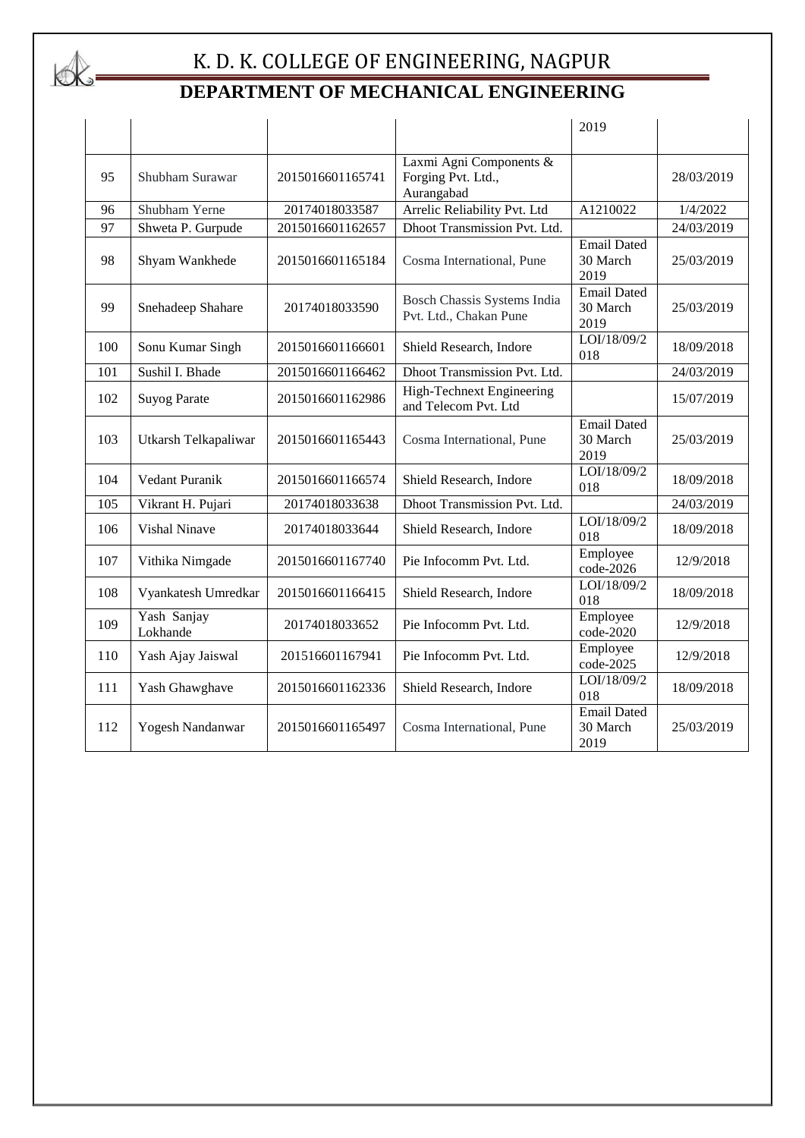

|     |                         |                  |                                                             | 2019                                   |            |
|-----|-------------------------|------------------|-------------------------------------------------------------|----------------------------------------|------------|
| 95  | Shubham Surawar         | 2015016601165741 | Laxmi Agni Components &<br>Forging Pvt. Ltd.,<br>Aurangabad |                                        | 28/03/2019 |
| 96  | Shubham Yerne           | 20174018033587   | Arrelic Reliability Pvt. Ltd                                | A1210022                               | 1/4/2022   |
| 97  | Shweta P. Gurpude       | 2015016601162657 | Dhoot Transmission Pvt. Ltd.                                |                                        | 24/03/2019 |
| 98  | Shyam Wankhede          | 2015016601165184 | Cosma International, Pune                                   | <b>Email Dated</b><br>30 March<br>2019 | 25/03/2019 |
| 99  | Snehadeep Shahare       | 20174018033590   | Bosch Chassis Systems India<br>Pvt. Ltd., Chakan Pune       | <b>Email Dated</b><br>30 March<br>2019 | 25/03/2019 |
| 100 | Sonu Kumar Singh        | 2015016601166601 | Shield Research, Indore                                     | LOI/18/09/2<br>018                     | 18/09/2018 |
| 101 | Sushil I. Bhade         | 2015016601166462 | Dhoot Transmission Pvt. Ltd.                                |                                        | 24/03/2019 |
| 102 | <b>Suyog Parate</b>     | 2015016601162986 | High-Technext Engineering<br>and Telecom Pvt. Ltd           |                                        | 15/07/2019 |
| 103 | Utkarsh Telkapaliwar    | 2015016601165443 | Cosma International, Pune                                   | <b>Email Dated</b><br>30 March<br>2019 | 25/03/2019 |
| 104 | Vedant Puranik          | 2015016601166574 | Shield Research, Indore                                     | LOI/18/09/2<br>018                     | 18/09/2018 |
| 105 | Vikrant H. Pujari       | 20174018033638   | Dhoot Transmission Pvt. Ltd.                                |                                        | 24/03/2019 |
| 106 | <b>Vishal Ninave</b>    | 20174018033644   | Shield Research, Indore                                     | LOI/18/09/2<br>018                     | 18/09/2018 |
| 107 | Vithika Nimgade         | 2015016601167740 | Pie Infocomm Pvt. Ltd.                                      | Employee<br>code-2026                  | 12/9/2018  |
| 108 | Vyankatesh Umredkar     | 2015016601166415 | Shield Research, Indore                                     | LOI/18/09/2<br>018                     | 18/09/2018 |
| 109 | Yash Sanjay<br>Lokhande | 20174018033652   | Pie Infocomm Pvt. Ltd.                                      | Employee<br>code-2020                  | 12/9/2018  |
| 110 | Yash Ajay Jaiswal       | 201516601167941  | Pie Infocomm Pvt. Ltd.                                      | Employee<br>code-2025                  | 12/9/2018  |
| 111 | Yash Ghawghave          | 2015016601162336 | Shield Research, Indore                                     | LOI/18/09/2<br>018                     | 18/09/2018 |
| 112 | Yogesh Nandanwar        | 2015016601165497 | Cosma International, Pune                                   | <b>Email Dated</b><br>30 March<br>2019 | 25/03/2019 |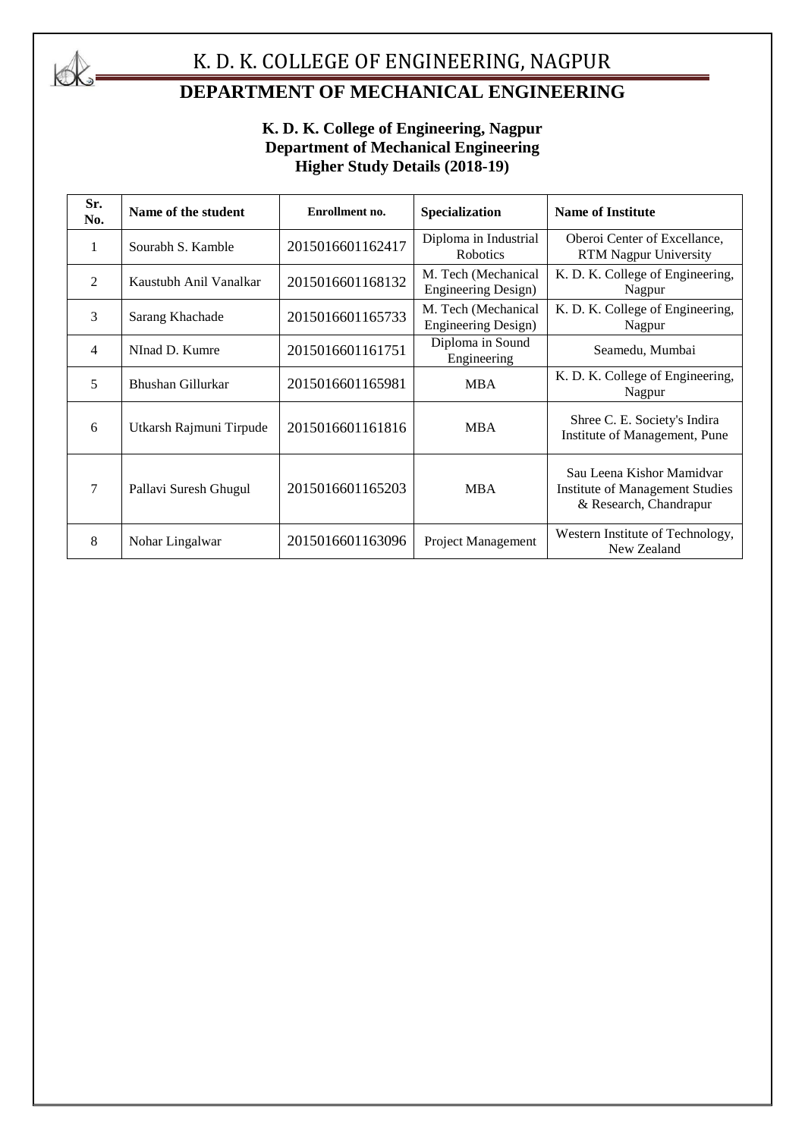

# K. D. K. COLLEGE OF ENGINEERING, NAGPUR

# **DEPARTMENT OF MECHANICAL ENGINEERING**

#### **K. D. K. College of Engineering, Nagpur Department of Mechanical Engineering Higher Study Details (2018-19)**

| Sr.<br>No.     | Name of the student     | Enrollment no.   | Specialization                                    | <b>Name of Institute</b>                                                                      |
|----------------|-------------------------|------------------|---------------------------------------------------|-----------------------------------------------------------------------------------------------|
| 1              | Sourabh S. Kamble       | 2015016601162417 | Diploma in Industrial<br><b>Robotics</b>          | Oberoi Center of Excellance,<br><b>RTM Nagpur University</b>                                  |
| 2              | Kaustubh Anil Vanalkar  | 2015016601168132 | M. Tech (Mechanical<br><b>Engineering Design)</b> | K. D. K. College of Engineering,<br>Nagpur                                                    |
| 3              | Sarang Khachade         | 2015016601165733 | M. Tech (Mechanical<br><b>Engineering Design)</b> | K. D. K. College of Engineering,<br>Nagpur                                                    |
| $\overline{4}$ | NInad D. Kumre          | 2015016601161751 | Diploma in Sound<br>Engineering                   | Seamedu, Mumbai                                                                               |
| 5              | Bhushan Gillurkar       | 2015016601165981 | <b>MBA</b>                                        | K. D. K. College of Engineering,<br>Nagpur                                                    |
| 6              | Utkarsh Rajmuni Tirpude | 2015016601161816 | <b>MBA</b>                                        | Shree C. E. Society's Indira<br>Institute of Management, Pune                                 |
| $\overline{7}$ | Pallavi Suresh Ghugul   | 2015016601165203 | MBA                                               | Sau Leena Kishor Mamidvar<br><b>Institute of Management Studies</b><br>& Research, Chandrapur |
| 8              | Nohar Lingalwar         | 2015016601163096 | Project Management                                | Western Institute of Technology,<br>New Zealand                                               |